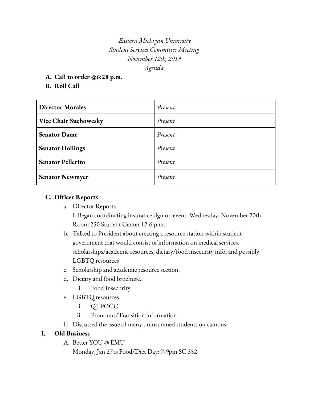*Eastern Michigan University Student Services Committee Meeting November 12th, 2019 Agenda*

- **A. Call to order @6:28 p.m.**
- **B. Roll Call**

| <b>Director Morales</b>      | Present |
|------------------------------|---------|
| <b>Vice Chair Suchowesky</b> | Present |
| <b>Senator Dame</b>          | Present |
| <b>Senator Hollings</b>      | Present |
| <b>Senator Pellerito</b>     | Present |
| <b>Senator Newmyer</b>       | Present |

## **C. Officer Reports**

a. Director Reports

I. Began coordinating insurance sign up event. Wednesday, November 20th Room 250 Student Center 12-6 p.m.

- b. Talked to President about creating a resource station within student government that would consist of information on medical services, scholarships/academic resources, dietary/food insecurity info, and possibly LGBTQ resources
- c. Scholarship and academic resource section.
- d. Dietary and food brochure.
	- i. Food Insecurity
- e. LGBTQ resources.
	- i. QTPOCC
	- ii. Pronouns/Transition information
- f. Discussed the issue of many uninsuraned students on campus

## **I. Old Business**

- A. Better YOU @ EMU
	- Monday, Jan 27 is Food/Diet Day: 7-9pm SC 352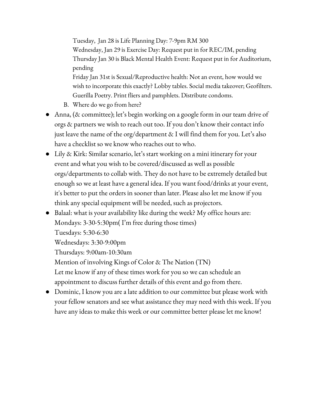Tuesday, Jan 28 is Life Planning Day: 7-9pm RM 300 Wednesday, Jan 29 is Exercise Day: Request put in for REC/IM, pending Thursday Jan 30 is Black Mental Health Event: Request put in for Auditorium, pending Friday Jan 31st is Sexual/Reproductive health: Not an event, how would we

wish to incorporate this exactly? Lobby tables. Social media takeover; Geofilters. Guerilla Poetry. Print fliers and pamphlets. Distribute condoms.

- B. Where do we go from here?
- Anna, (& committee); let's begin working on a google form in our team drive of orgs & partners we wish to reach out too. If you don't know their contact info just leave the name of the org/department & I will find them for you. Let's also have a checklist so we know who reaches out to who.
- Lily & Kirk: Similar scenario, let's start working on a mini itinerary for your event and what you wish to be covered/discussed as well as possible orgs/departments to collab with. They do not have to be extremely detailed but enough so we at least have a general idea. If you want food/drinks at your event, it's better to put the orders in sooner than later. Please also let me know if you think any special equipment will be needed, such as projectors.
- Balaal: what is your availability like during the week? My office hours are: Mondays: 3-30-5:30pm( I'm free during those times) Tuesdays: 5:30-6:30 Wednesdays: 3:30-9:00pm Thursdays: 9:00am-10:30am Mention of involving Kings of Color & The Nation (TN) Let me know if any of these times work for you so we can schedule an appointment to discuss further details of this event and go from there.
- Dominic, I know you are a late addition to our committee but please work with your fellow senators and see what assistance they may need with this week. If you have any ideas to make this week or our committee better please let me know!